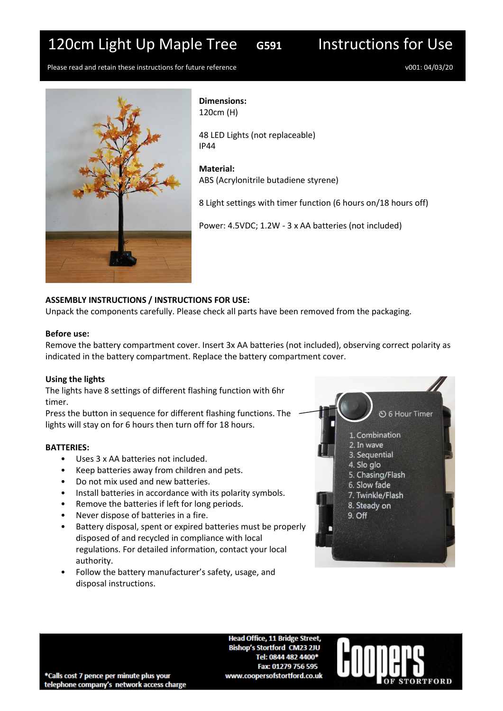# 120cm Light Up Maple Tree **G591** Instructions for Use



Please read and retain these instructions for future reference v001: 04/03/20



**Dimensions:** 120cm (H)

48 LED Lights (not replaceable) IP44

**Material:** ABS (Acrylonitrile butadiene styrene)

8 Light settings with timer function (6 hours on/18 hours off)

Power: 4.5VDC; 1.2W - 3 x AA batteries (not included)

## **ASSEMBLY INSTRUCTIONS / INSTRUCTIONS FOR USE:**

Unpack the components carefully. Please check all parts have been removed from the packaging.

#### **Before use:**

Remove the battery compartment cover. Insert 3x AA batteries (not included), observing correct polarity as indicated in the battery compartment. Replace the battery compartment cover.

### **Using the lights**

The lights have 8 settings of different flashing function with 6hr timer.

Press the button in sequence for different flashing functions. The lights will stay on for 6 hours then turn off for 18 hours.

### **BATTERIES:**

- Uses 3 x AA batteries not included.
- Keep batteries away from children and pets.
- Do not mix used and new batteries.
- Install batteries in accordance with its polarity symbols.
- Remove the batteries if left for long periods.
- Never dispose of batteries in a fire.
- Battery disposal, spent or expired batteries must be properly disposed of and recycled in compliance with local regulations. For detailed information, contact your local authority.
- Follow the battery manufacturer's safety, usage, and disposal instructions.



**Head Office, 11 Bridge Street, Bishop's Stortford CM23 2JU** Tel: 0844 482 4400\* Fax: 01279 756 595 www.coopersofstortford.co.uk